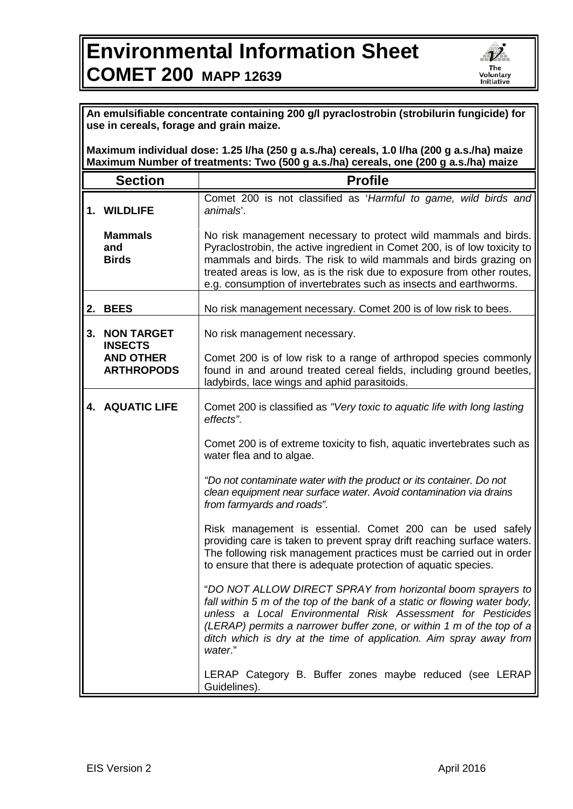## **Environmental Information Sheet COMET 200 MAPP 12639**



| An emulsifiable concentrate containing 200 g/l pyraclostrobin (strobilurin fungicide) for<br>use in cereals, forage and grain maize.<br>Maximum individual dose: 1.25 I/ha (250 g a.s./ha) cereals, 1.0 I/ha (200 g a.s./ha) maize |                                                                              |                                                                                                                                                                                                                                                                                                                                                                                                                                                                                                                                                                                                                                                                    |
|------------------------------------------------------------------------------------------------------------------------------------------------------------------------------------------------------------------------------------|------------------------------------------------------------------------------|--------------------------------------------------------------------------------------------------------------------------------------------------------------------------------------------------------------------------------------------------------------------------------------------------------------------------------------------------------------------------------------------------------------------------------------------------------------------------------------------------------------------------------------------------------------------------------------------------------------------------------------------------------------------|
| Maximum Number of treatments: Two (500 g a.s./ha) cereals, one (200 g a.s./ha) maize                                                                                                                                               |                                                                              |                                                                                                                                                                                                                                                                                                                                                                                                                                                                                                                                                                                                                                                                    |
|                                                                                                                                                                                                                                    | <b>Section</b>                                                               | <b>Profile</b>                                                                                                                                                                                                                                                                                                                                                                                                                                                                                                                                                                                                                                                     |
|                                                                                                                                                                                                                                    | 1. WILDLIFE                                                                  | Comet 200 is not classified as 'Harmful to game, wild birds and<br>animals'.                                                                                                                                                                                                                                                                                                                                                                                                                                                                                                                                                                                       |
|                                                                                                                                                                                                                                    | <b>Mammals</b><br>and<br><b>Birds</b>                                        | No risk management necessary to protect wild mammals and birds.<br>Pyraclostrobin, the active ingredient in Comet 200, is of low toxicity to<br>mammals and birds. The risk to wild mammals and birds grazing on<br>treated areas is low, as is the risk due to exposure from other routes,<br>e.g. consumption of invertebrates such as insects and earthworms.                                                                                                                                                                                                                                                                                                   |
| 2.                                                                                                                                                                                                                                 | <b>BEES</b>                                                                  | No risk management necessary. Comet 200 is of low risk to bees.                                                                                                                                                                                                                                                                                                                                                                                                                                                                                                                                                                                                    |
| 3.                                                                                                                                                                                                                                 | <b>NON TARGET</b><br><b>INSECTS</b><br><b>AND OTHER</b><br><b>ARTHROPODS</b> | No risk management necessary.<br>Comet 200 is of low risk to a range of arthropod species commonly<br>found in and around treated cereal fields, including ground beetles,<br>ladybirds, lace wings and aphid parasitoids.                                                                                                                                                                                                                                                                                                                                                                                                                                         |
|                                                                                                                                                                                                                                    | <b>4. AQUATIC LIFE</b>                                                       | Comet 200 is classified as "Very toxic to aquatic life with long lasting<br>effects".<br>Comet 200 is of extreme toxicity to fish, aquatic invertebrates such as<br>water flea and to algae.<br>"Do not contaminate water with the product or its container. Do not<br>clean equipment near surface water. Avoid contamination via drains<br>from farmyards and roads".<br>Risk management is essential. Comet 200 can be used safely                                                                                                                                                                                                                              |
|                                                                                                                                                                                                                                    |                                                                              | providing care is taken to prevent spray drift reaching surface waters.<br>The following risk management practices must be carried out in order<br>to ensure that there is adequate protection of aquatic species.<br>"DO NOT ALLOW DIRECT SPRAY from horizontal boom sprayers to<br>fall within 5 m of the top of the bank of a static or flowing water body,<br>unless a Local Environmental Risk Assessment for Pesticides<br>(LERAP) permits a narrower buffer zone, or within 1 m of the top of a<br>ditch which is dry at the time of application. Aim spray away from<br>water."<br>LERAP Category B. Buffer zones maybe reduced (see LERAP<br>Guidelines). |